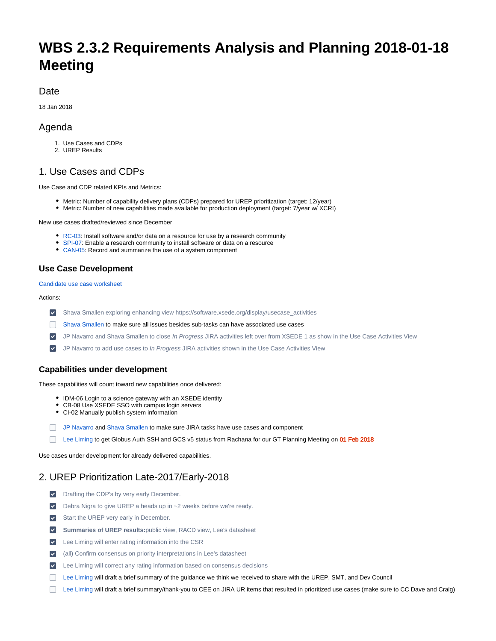# **WBS 2.3.2 Requirements Analysis and Planning 2018-01-18 Meeting**

## Date

18 Jan 2018

## Agenda

- 1. Use Cases and CDPs
- 2. UREP Results

## 1. Use Cases and CDPs

Use Case and CDP related KPIs and Metrics:

- Metric: Number of capability delivery plans (CDPs) prepared for UREP prioritization (target: 12/year)
- Metric: Number of new capabilities made available for production deployment (target: 7/year w/ XCRI)

New use cases drafted/reviewed since December

- [RC-03:](https://software.xsede.org/use-case/rc-03) Install software and/or data on a resource for use by a research community
- [SPI-07:](https://software.xsede.org/use-case/spi-07) Enable a research community to install software or data on a resource
- [CAN-05:](https://software.xsede.org/use-case/can-05) Record and summarize the use of a system component

### **Use Case Development**

[Candidate use case worksheet](https://docs.google.com/spreadsheets/d/1OsDiF3ekGQPdTLzZa3YXmP5Fj5NNpQDOFWAjLxgU7gs)

#### Actions:

- [Shava Smallen](https://confluence.xsede.org/display/~ssmallen) exploring enhancing view [https://software.xsede.org/display/usecase\\_activities](https://software.xsede.org/display/usecase_activities)
- [Shava Smallen](https://confluence.xsede.org/display/~ssmallen) to make sure all issues besides sub-tasks can have associated use cases
- **V** [JP Navarro](https://confluence.xsede.org/display/~navarro) and [Shava Smallen](https://confluence.xsede.org/display/~ssmallen) to close In Progress JIRA activities left over from XSEDE 1 as show in the [Use Case Activities View](https://software.xsede.org/display/usecase_activities)
- [JP Navarro](https://confluence.xsede.org/display/~navarro) to add use cases to In Progress JIRA activities shown in the [Use Case Activities View](https://software.xsede.org/display/usecase_activities)  $\blacktriangledown$

## **Capabilities under development**

These capabilities will count toward new capabilities once delivered:

- IDM-06 Login to a science gateway with an XSEDE identity
- CB-08 Use XSEDE SSO with campus login servers
- CI-02 Manually publish system information
- [JP Navarro](https://confluence.xsede.org/display/~navarro) and [Shava Smallen](https://confluence.xsede.org/display/~ssmallen) to make sure JIRA tasks have use cases and component
- [Lee Liming](https://confluence.xsede.org/display/~liming) to get Globus Auth SSH and GCS v5 status from Rachana for our GT Planning Meeting on 01 Feb 2018

Use cases under development for already delivered capabilities.

## 2. UREP Prioritization Late-2017/Early-2018

- **v** Drafting the CDP's by very early December.
- [Debra Nigra](https://confluence.xsede.org/display/~debnigra) to give UREP a heads up in ~2 weeks before we're ready.
- Start the UREP very early in December.
- **Summaries of UREP results:**[public view](https://software.xsede.org/node/1783/rating), [RACD view,](https://software.xsede.org/rating-campaign/fall-2017-use-cases-and-capability-delivery-plans) [Lee's datasheet](https://docs.google.com/spreadsheets/d/1Kv3P63lMg9QhrivTl5-6jDoQFZ7EekupcG1jj_udP3M/edit?usp=sharing)
- [Lee Liming](https://confluence.xsede.org/display/~liming) will enter rating information into the CSR
- (all) Confirm consensus on priority interpretations in Lee's datasheet
- [Lee Liming](https://confluence.xsede.org/display/~liming) will correct any rating information based on consensus decisions
- [Lee Liming](https://confluence.xsede.org/display/~liming) will draft a brief summary of the guidance we think we received to share with the UREP, SMT, and Dev Council
- [Lee Liming](https://confluence.xsede.org/display/~liming) will draft a brief summary/thank-you to CEE on JIRA UR items that resulted in prioritized use cases (make sure to CC Dave and Craig)